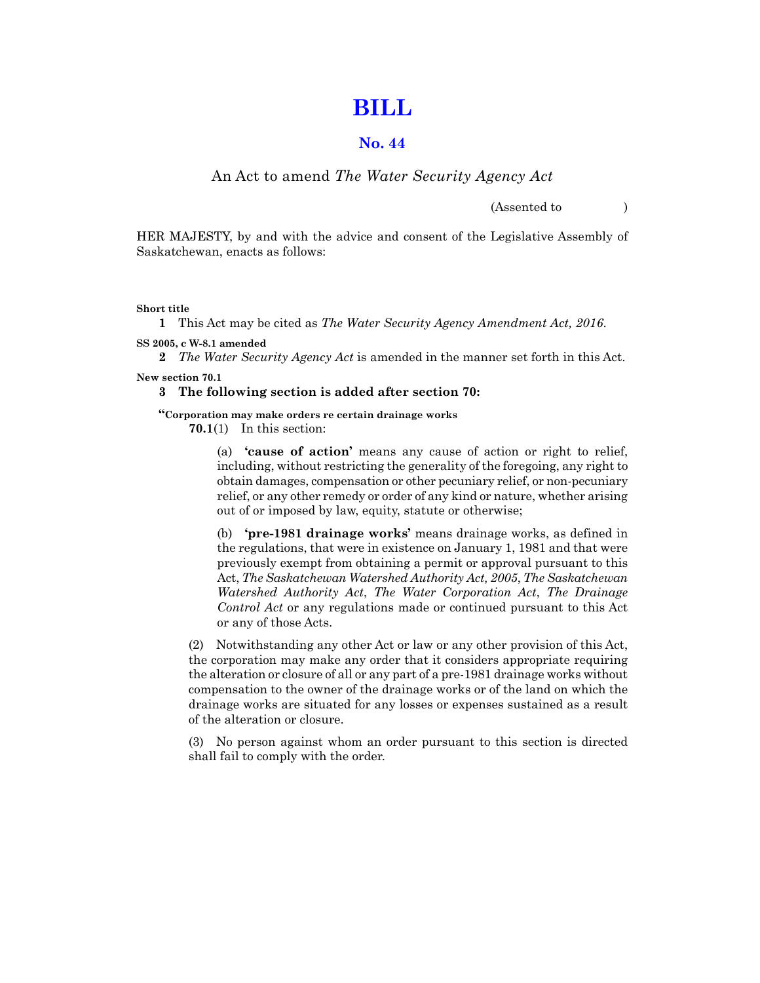# **[BILL](https://publications.saskatchewan.ca:443/api/v1/products/85869/formats/99484/download)**

# **No. 44**

# An Act to amend *The Water Security Agency Act*

(Assented to )

HER MAJESTY, by and with the advice and consent of the Legislative Assembly of Saskatchewan, enacts as follows:

**Short title**

**1** This Act may be cited as *The Water Security Agency Amendment Act, 2016*.

**SS 2005, c W-8.1 amended**

**2** *The Water Security Agency Act* is amended in the manner set forth in this Act.

**New section 70.1**

#### **3 The following section is added after section 70:**

**"Corporation may make orders re certain drainage works**

**70.1**(1) In this section:

(a) **'cause of action'** means any cause of action or right to relief, including, without restricting the generality of the foregoing, any right to obtain damages, compensation or other pecuniary relief, or non-pecuniary relief, or any other remedy or order of any kind or nature, whether arising out of or imposed by law, equity, statute or otherwise;

(b) **'pre-1981 drainage works'** means drainage works, as defined in the regulations, that were in existence on January 1, 1981 and that were previously exempt from obtaining a permit or approval pursuant to this Act, *The Saskatchewan Watershed Authority Act, 2005*, *The Saskatchewan Watershed Authority Act*, *The Water Corporation Act*, *The Drainage Control Act* or any regulations made or continued pursuant to this Act or any of those Acts.

(2) Notwithstanding any other Act or law or any other provision of this Act, the corporation may make any order that it considers appropriate requiring the alteration or closure of all or any part of a pre-1981 drainage works without compensation to the owner of the drainage works or of the land on which the drainage works are situated for any losses or expenses sustained as a result of the alteration or closure.

(3) No person against whom an order pursuant to this section is directed shall fail to comply with the order.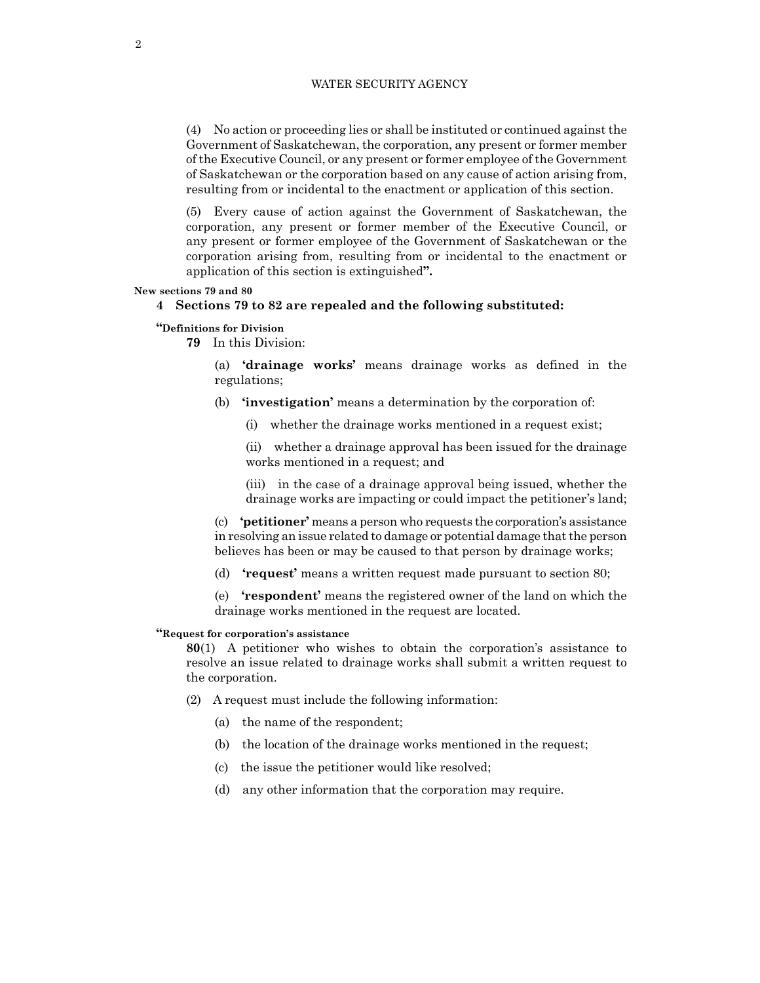(4) No action or proceeding lies or shall be instituted or continued against the Government of Saskatchewan, the corporation, any present or former member of the Executive Council, or any present or former employee of the Government of Saskatchewan or the corporation based on any cause of action arising from, resulting from or incidental to the enactment or application of this section.

(5) Every cause of action against the Government of Saskatchewan, the corporation, any present or former member of the Executive Council, or any present or former employee of the Government of Saskatchewan or the corporation arising from, resulting from or incidental to the enactment or application of this section is extinguished**".**

#### **New sections 79 and 80**

# **4 Sections 79 to 82 are repealed and the following substituted:**

# **"Definitions for Division**

**79** In this Division:

(a) **'drainage works'** means drainage works as defined in the regulations;

- (b) **'investigation'** means a determination by the corporation of:
	- (i) whether the drainage works mentioned in a request exist;

(ii) whether a drainage approval has been issued for the drainage works mentioned in a request; and

(iii) in the case of a drainage approval being issued, whether the drainage works are impacting or could impact the petitioner's land;

(c) **'petitioner'** means a person who requests the corporation's assistance in resolving an issue related to damage or potential damage that the person believes has been or may be caused to that person by drainage works;

(d) **'request'** means a written request made pursuant to section 80;

(e) **'respondent'** means the registered owner of the land on which the drainage works mentioned in the request are located.

# **"Request for corporation's assistance**

**80**(1) A petitioner who wishes to obtain the corporation's assistance to resolve an issue related to drainage works shall submit a written request to the corporation.

- (2) A request must include the following information:
	- (a) the name of the respondent;
	- (b) the location of the drainage works mentioned in the request;
	- (c) the issue the petitioner would like resolved;
	- (d) any other information that the corporation may require.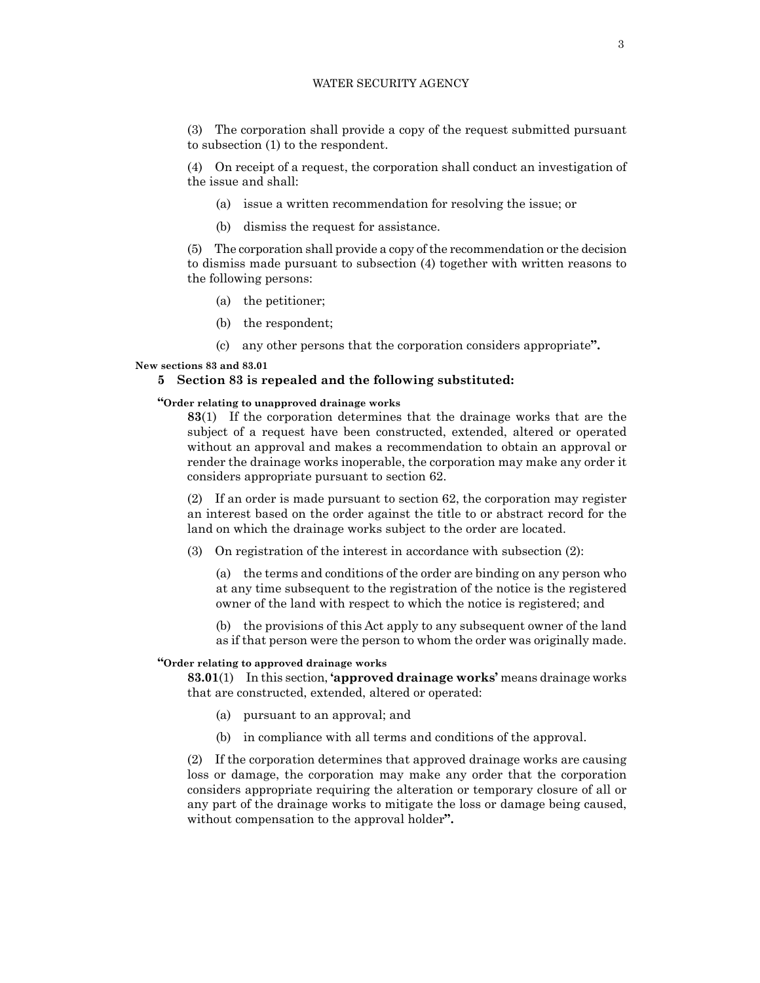(3) The corporation shall provide a copy of the request submitted pursuant to subsection (1) to the respondent.

(4) On receipt of a request, the corporation shall conduct an investigation of the issue and shall:

- (a) issue a written recommendation for resolving the issue; or
- (b) dismiss the request for assistance.

(5) The corporation shall provide a copy of the recommendation or the decision to dismiss made pursuant to subsection (4) together with written reasons to the following persons:

- (a) the petitioner;
- (b) the respondent;
- (c) any other persons that the corporation considers appropriate**".**

#### **New sections 83 and 83.01**

## **5 Section 83 is repealed and the following substituted:**

# **"Order relating to unapproved drainage works**

**83**(1) If the corporation determines that the drainage works that are the subject of a request have been constructed, extended, altered or operated without an approval and makes a recommendation to obtain an approval or render the drainage works inoperable, the corporation may make any order it considers appropriate pursuant to section 62.

(2) If an order is made pursuant to section 62, the corporation may register an interest based on the order against the title to or abstract record for the land on which the drainage works subject to the order are located.

(3) On registration of the interest in accordance with subsection (2):

(a) the terms and conditions of the order are binding on any person who at any time subsequent to the registration of the notice is the registered owner of the land with respect to which the notice is registered; and

(b) the provisions of this Act apply to any subsequent owner of the land as if that person were the person to whom the order was originally made.

## **"Order relating to approved drainage works**

**83.01**(1) In this section, **'approved drainage works'** means drainage works that are constructed, extended, altered or operated:

- (a) pursuant to an approval; and
- (b) in compliance with all terms and conditions of the approval.

(2) If the corporation determines that approved drainage works are causing loss or damage, the corporation may make any order that the corporation considers appropriate requiring the alteration or temporary closure of all or any part of the drainage works to mitigate the loss or damage being caused, without compensation to the approval holder**".**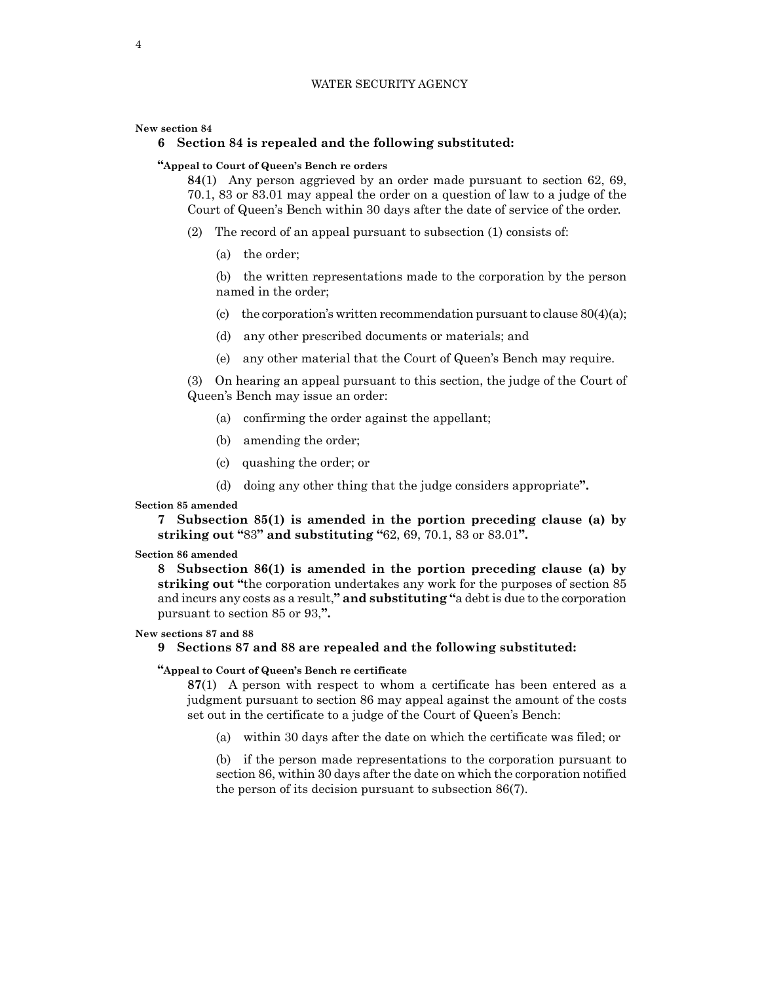#### **New section 84**

# **6 Section 84 is repealed and the following substituted:**

## **"Appeal to Court of Queen's Bench re orders**

**84**(1) Any person aggrieved by an order made pursuant to section 62, 69, 70.1, 83 or 83.01 may appeal the order on a question of law to a judge of the Court of Queen's Bench within 30 days after the date of service of the order.

- (2) The record of an appeal pursuant to subsection (1) consists of:
	- (a) the order;

(b) the written representations made to the corporation by the person named in the order;

- (c) the corporation's written recommendation pursuant to clause  $80(4)(a)$ ;
- (d) any other prescribed documents or materials; and
- (e) any other material that the Court of Queen's Bench may require.

(3) On hearing an appeal pursuant to this section, the judge of the Court of Queen's Bench may issue an order:

- (a) confirming the order against the appellant;
- (b) amending the order;
- (c) quashing the order; or
- (d) doing any other thing that the judge considers appropriate**".**

#### **Section 85 amended**

**7 Subsection 85(1) is amended in the portion preceding clause (a) by striking out "**83**" and substituting "**62, 69, 70.1, 83 or 83.01**".**

## **Section 86 amended**

**8 Subsection 86(1) is amended in the portion preceding clause (a) by striking out "**the corporation undertakes any work for the purposes of section 85 and incurs any costs as a result,**" and substituting "**a debt is due to the corporation pursuant to section 85 or 93,**".**

# **New sections 87 and 88**

# **9 Sections 87 and 88 are repealed and the following substituted:**

# **"Appeal to Court of Queen's Bench re certificate**

**87**(1) A person with respect to whom a certificate has been entered as a judgment pursuant to section 86 may appeal against the amount of the costs set out in the certificate to a judge of the Court of Queen's Bench:

(a) within 30 days after the date on which the certificate was filed; or

(b) if the person made representations to the corporation pursuant to section 86, within 30 days after the date on which the corporation notified the person of its decision pursuant to subsection 86(7).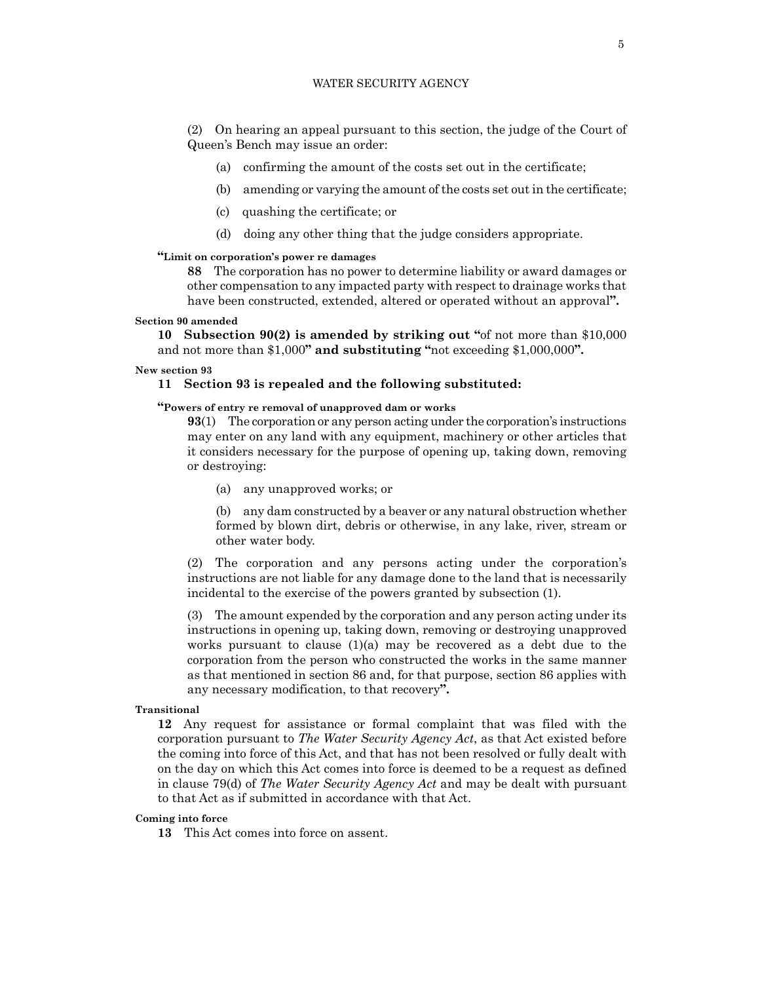(2) On hearing an appeal pursuant to this section, the judge of the Court of Queen's Bench may issue an order:

- (a) confirming the amount of the costs set out in the certificate;
- (b) amending or varying the amount of the costs set out in the certificate;
- (c) quashing the certificate; or
- (d) doing any other thing that the judge considers appropriate.

#### **"Limit on corporation's power re damages**

**88** The corporation has no power to determine liability or award damages or other compensation to any impacted party with respect to drainage works that have been constructed, extended, altered or operated without an approval**".**

# **Section 90 amended**

**10 Subsection 90(2) is amended by striking out "**of not more than \$10,000 and not more than \$1,000**" and substituting "**not exceeding \$1,000,000**".**

#### **New section 93**

#### **11 Section 93 is repealed and the following substituted:**

#### **"Powers of entry re removal of unapproved dam or works**

**93**(1) The corporation or any person acting under the corporation's instructions may enter on any land with any equipment, machinery or other articles that it considers necessary for the purpose of opening up, taking down, removing or destroying:

(a) any unapproved works; or

(b) any dam constructed by a beaver or any natural obstruction whether formed by blown dirt, debris or otherwise, in any lake, river, stream or other water body.

(2) The corporation and any persons acting under the corporation's instructions are not liable for any damage done to the land that is necessarily incidental to the exercise of the powers granted by subsection (1).

(3) The amount expended by the corporation and any person acting under its instructions in opening up, taking down, removing or destroying unapproved works pursuant to clause  $(1)(a)$  may be recovered as a debt due to the corporation from the person who constructed the works in the same manner as that mentioned in section 86 and, for that purpose, section 86 applies with any necessary modification, to that recovery**".**

#### **Transitional**

**12** Any request for assistance or formal complaint that was filed with the corporation pursuant to *The Water Security Agency Act*, as that Act existed before the coming into force of this Act, and that has not been resolved or fully dealt with on the day on which this Act comes into force is deemed to be a request as defined in clause 79(d) of *The Water Security Agency Act* and may be dealt with pursuant to that Act as if submitted in accordance with that Act.

## **Coming into force**

**13** This Act comes into force on assent.